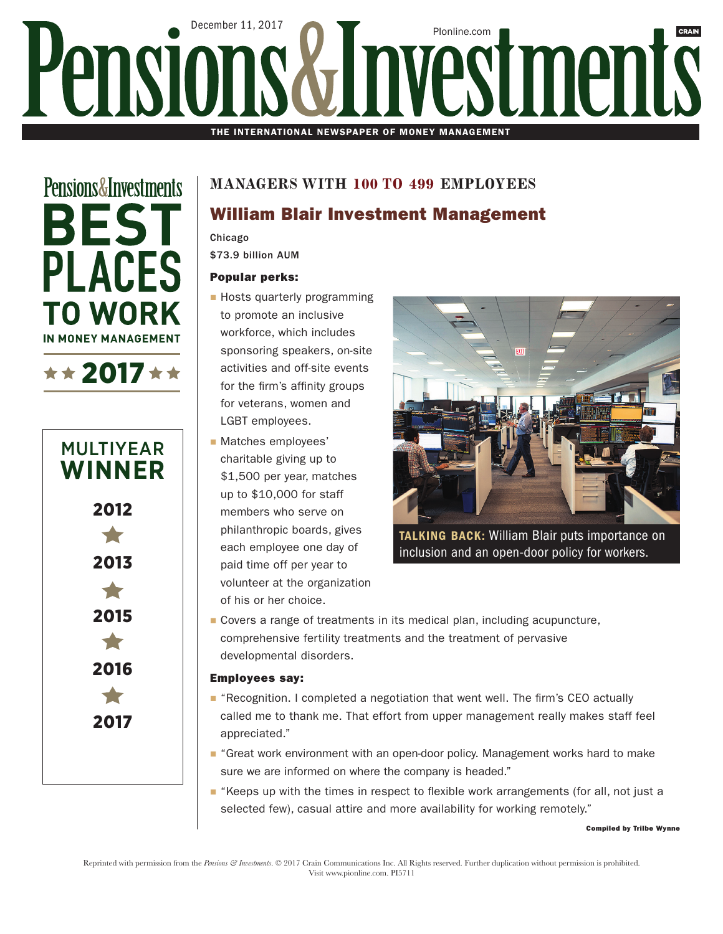# December 11, 2017 PIonline.com Pensio estments THE INTERNATIONAL NEWSPAPER OF MONEY MANAGEMENT

**Pensions&Investments BEST PLACES TO WORK IN MONEY MANAGEMENT** 





### **MANAGERS WITH 100 TO 499 EMPLOYEES**

## William Blair Investment Management

Chicago

\$73.9 billion AUM

#### Popular perks:

- **Hosts quarterly programming** to promote an inclusive workforce, which includes sponsoring speakers, on-site activities and off-site events for the firm's affinity groups for veterans, women and LGBT employees.
- **Matches employees'** charitable giving up to \$1,500 per year, matches up to \$10,000 for staff members who serve on philanthropic boards, gives each employee one day of paid time off per year to volunteer at the organization of his or her choice.



**TALKING BACK: William Blair puts importance on** inclusion and an open-door policy for workers.

■ Covers a range of treatments in its medical plan, including acupuncture, comprehensive fertility treatments and the treatment of pervasive developmental disorders.

#### Employees say:

- **F** "Recognition. I completed a negotiation that went well. The firm's CEO actually called me to thank me. That effort from upper management really makes staff feel appreciated."
- **F** "Great work environment with an open-door policy. Management works hard to make sure we are informed on where the company is headed."
- $\blacksquare$  "Keeps up with the times in respect to flexible work arrangements (for all, not just a selected few), casual attire and more availability for working remotely."

Compiled by Trilbe Wynne